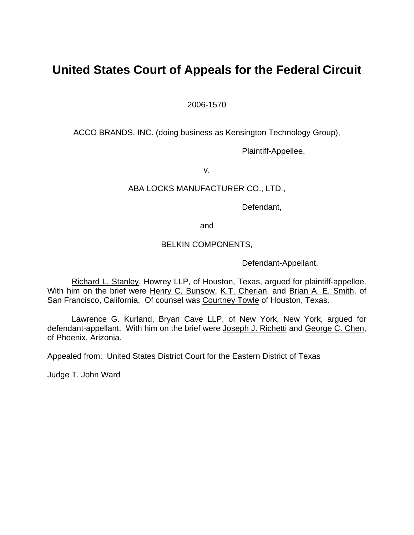# **United States Court of Appeals for the Federal Circuit**

2006-1570

ACCO BRANDS, INC. (doing business as Kensington Technology Group),

Plaintiff-Appellee,

v.

# ABA LOCKS MANUFACTURER CO., LTD.,

Defendant,

and

### BELKIN COMPONENTS,

Defendant-Appellant.

Richard L. Stanley, Howrey LLP, of Houston, Texas, argued for plaintiff-appellee. With him on the brief were Henry C. Bunsow, K.T. Cherian, and Brian A. E. Smith, of San Francisco, California. Of counsel was Courtney Towle of Houston, Texas.

Lawrence G. Kurland, Bryan Cave LLP, of New York, New York, argued for defendant-appellant. With him on the brief were Joseph J. Richetti and George C. Chen, of Phoenix, Arizonia.

Appealed from: United States District Court for the Eastern District of Texas

Judge T. John Ward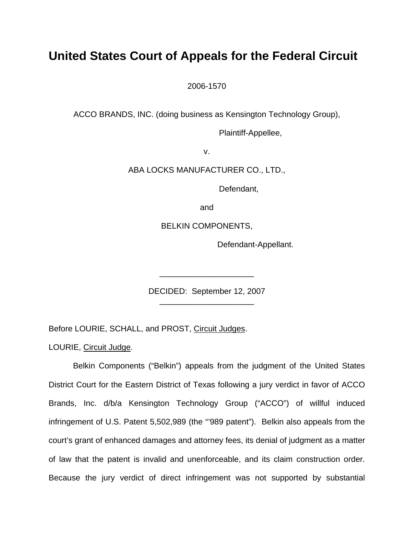# **United States Court of Appeals for the Federal Circuit**

2006-1570

ACCO BRANDS, INC. (doing business as Kensington Technology Group),

Plaintiff-Appellee,

v.

ABA LOCKS MANUFACTURER CO., LTD.,

Defendant,

and

BELKIN COMPONENTS,

Defendant-Appellant.

DECIDED: September 12, 2007 \_\_\_\_\_\_\_\_\_\_\_\_\_\_\_\_\_\_\_\_\_

\_\_\_\_\_\_\_\_\_\_\_\_\_\_\_\_\_\_\_\_\_

Before LOURIE, SCHALL, and PROST, Circuit Judges.

LOURIE, Circuit Judge.

Belkin Components ("Belkin") appeals from the judgment of the United States District Court for the Eastern District of Texas following a jury verdict in favor of ACCO Brands, Inc. d/b/a Kensington Technology Group ("ACCO") of willful induced infringement of U.S. Patent 5,502,989 (the "'989 patent"). Belkin also appeals from the court's grant of enhanced damages and attorney fees, its denial of judgment as a matter of law that the patent is invalid and unenforceable, and its claim construction order. Because the jury verdict of direct infringement was not supported by substantial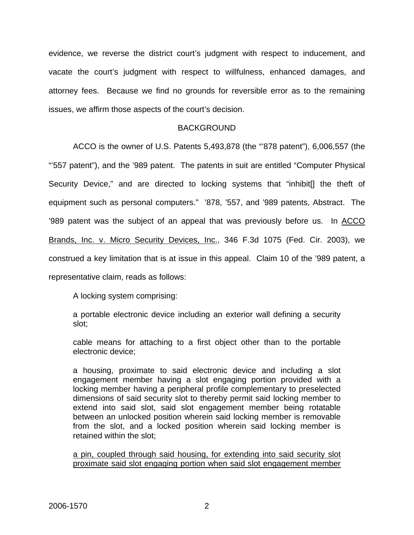evidence, we reverse the district court's judgment with respect to inducement, and vacate the court's judgment with respect to willfulness, enhanced damages, and attorney fees. Because we find no grounds for reversible error as to the remaining issues, we affirm those aspects of the court's decision.

### BACKGROUND

ACCO is the owner of U.S. Patents 5,493,878 (the "'878 patent"), 6,006,557 (the "'557 patent"), and the '989 patent. The patents in suit are entitled "Computer Physical Security Device," and are directed to locking systems that "inhibit[] the theft of equipment such as personal computers." '878, '557, and '989 patents, Abstract. The '989 patent was the subject of an appeal that was previously before us. In ACCO Brands, Inc. v. Micro Security Devices, Inc., 346 F.3d 1075 (Fed. Cir. 2003), we construed a key limitation that is at issue in this appeal. Claim 10 of the '989 patent, a representative claim, reads as follows:

A locking system comprising:

a portable electronic device including an exterior wall defining a security slot;

cable means for attaching to a first object other than to the portable electronic device;

a housing, proximate to said electronic device and including a slot engagement member having a slot engaging portion provided with a locking member having a peripheral profile complementary to preselected dimensions of said security slot to thereby permit said locking member to extend into said slot, said slot engagement member being rotatable between an unlocked position wherein said locking member is removable from the slot, and a locked position wherein said locking member is retained within the slot;

a pin, coupled through said housing, for extending into said security slot proximate said slot engaging portion when said slot engagement member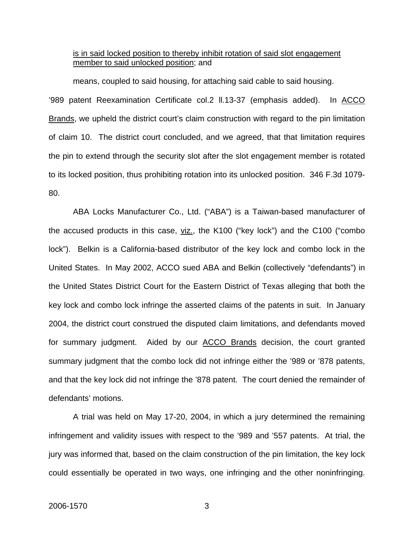#### is in said locked position to thereby inhibit rotation of said slot engagement member to said unlocked position; and

means, coupled to said housing, for attaching said cable to said housing. '989 patent Reexamination Certificate col.2 ll.13-37 (emphasis added). In ACCO Brands, we upheld the district court's claim construction with regard to the pin limitation of claim 10. The district court concluded, and we agreed, that that limitation requires the pin to extend through the security slot after the slot engagement member is rotated to its locked position, thus prohibiting rotation into its unlocked position. 346 F.3d 1079- 80.

ABA Locks Manufacturer Co., Ltd. ("ABA") is a Taiwan-based manufacturer of the accused products in this case, viz., the K100 ("key lock") and the C100 ("combo lock"). Belkin is a California-based distributor of the key lock and combo lock in the United States. In May 2002, ACCO sued ABA and Belkin (collectively "defendants") in the United States District Court for the Eastern District of Texas alleging that both the key lock and combo lock infringe the asserted claims of the patents in suit. In January 2004, the district court construed the disputed claim limitations, and defendants moved for summary judgment. Aided by our ACCO Brands decision, the court granted summary judgment that the combo lock did not infringe either the '989 or '878 patents, and that the key lock did not infringe the '878 patent. The court denied the remainder of defendants' motions.

A trial was held on May 17-20, 2004, in which a jury determined the remaining infringement and validity issues with respect to the '989 and '557 patents. At trial, the jury was informed that, based on the claim construction of the pin limitation, the key lock could essentially be operated in two ways, one infringing and the other noninfringing.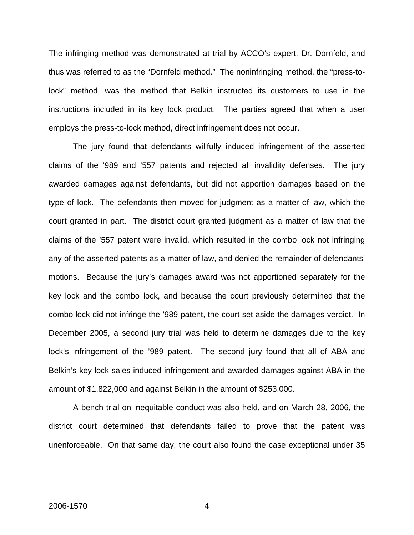The infringing method was demonstrated at trial by ACCO's expert, Dr. Dornfeld, and thus was referred to as the "Dornfeld method." The noninfringing method, the "press-tolock" method, was the method that Belkin instructed its customers to use in the instructions included in its key lock product. The parties agreed that when a user employs the press-to-lock method, direct infringement does not occur.

The jury found that defendants willfully induced infringement of the asserted claims of the '989 and '557 patents and rejected all invalidity defenses. The jury awarded damages against defendants, but did not apportion damages based on the type of lock. The defendants then moved for judgment as a matter of law, which the court granted in part. The district court granted judgment as a matter of law that the claims of the '557 patent were invalid, which resulted in the combo lock not infringing any of the asserted patents as a matter of law, and denied the remainder of defendants' motions. Because the jury's damages award was not apportioned separately for the key lock and the combo lock, and because the court previously determined that the combo lock did not infringe the '989 patent, the court set aside the damages verdict. In December 2005, a second jury trial was held to determine damages due to the key lock's infringement of the '989 patent. The second jury found that all of ABA and Belkin's key lock sales induced infringement and awarded damages against ABA in the amount of \$1,822,000 and against Belkin in the amount of \$253,000.

A bench trial on inequitable conduct was also held, and on March 28, 2006, the district court determined that defendants failed to prove that the patent was unenforceable. On that same day, the court also found the case exceptional under 35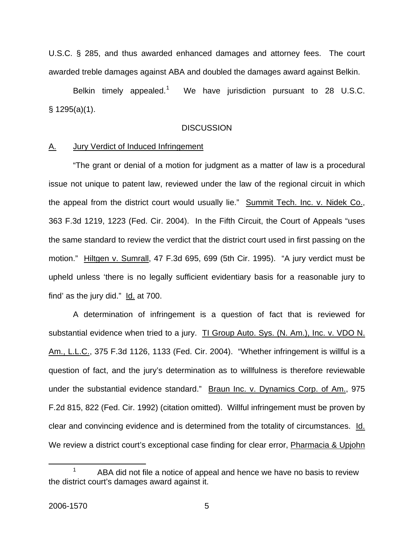U.S.C. § 285, and thus awarded enhanced damages and attorney fees. The court awarded treble damages against ABA and doubled the damages award against Belkin.

Belkin timely appealed. $1$  We have jurisdiction pursuant to 28 U.S.C. § 1295(a)(1).

#### **DISCUSSION**

#### A. Jury Verdict of Induced Infringement

"The grant or denial of a motion for judgment as a matter of law is a procedural issue not unique to patent law, reviewed under the law of the regional circuit in which the appeal from the district court would usually lie." Summit Tech. Inc. v. Nidek Co., 363 F.3d 1219, 1223 (Fed. Cir. 2004). In the Fifth Circuit, the Court of Appeals "uses the same standard to review the verdict that the district court used in first passing on the motion." Hiltgen v. Sumrall, 47 F.3d 695, 699 (5th Cir. 1995). "A jury verdict must be upheld unless 'there is no legally sufficient evidentiary basis for a reasonable jury to find' as the jury did." Id. at 700.

A determination of infringement is a question of fact that is reviewed for substantial evidence when tried to a jury. TI Group Auto. Sys. (N. Am.), Inc. v. VDO N. Am., L.L.C., 375 F.3d 1126, 1133 (Fed. Cir. 2004). "Whether infringement is willful is a question of fact, and the jury's determination as to willfulness is therefore reviewable under the substantial evidence standard." Braun Inc. v. Dynamics Corp. of Am., 975 F.2d 815, 822 (Fed. Cir. 1992) (citation omitted). Willful infringement must be proven by clear and convincing evidence and is determined from the totality of circumstances. Id. We review a district court's exceptional case finding for clear error, **Pharmacia & Upjohn** 

<span id="page-5-0"></span> <sup>1</sup> ABA did not file a notice of appeal and hence we have no basis to review the district court's damages award against it.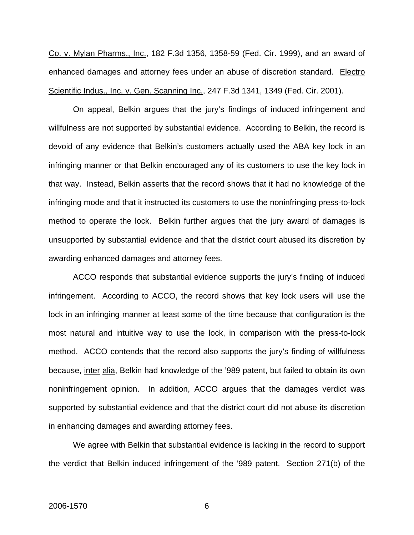Co. v. Mylan Pharms., Inc., 182 F.3d 1356, 1358-59 (Fed. Cir. 1999), and an award of enhanced damages and attorney fees under an abuse of discretion standard. Electro Scientific Indus., Inc. v. Gen. Scanning Inc., 247 F.3d 1341, 1349 (Fed. Cir. 2001).

On appeal, Belkin argues that the jury's findings of induced infringement and willfulness are not supported by substantial evidence. According to Belkin, the record is devoid of any evidence that Belkin's customers actually used the ABA key lock in an infringing manner or that Belkin encouraged any of its customers to use the key lock in that way. Instead, Belkin asserts that the record shows that it had no knowledge of the infringing mode and that it instructed its customers to use the noninfringing press-to-lock method to operate the lock. Belkin further argues that the jury award of damages is unsupported by substantial evidence and that the district court abused its discretion by awarding enhanced damages and attorney fees.

ACCO responds that substantial evidence supports the jury's finding of induced infringement. According to ACCO, the record shows that key lock users will use the lock in an infringing manner at least some of the time because that configuration is the most natural and intuitive way to use the lock, in comparison with the press-to-lock method. ACCO contends that the record also supports the jury's finding of willfulness because, inter alia, Belkin had knowledge of the '989 patent, but failed to obtain its own noninfringement opinion. In addition, ACCO argues that the damages verdict was supported by substantial evidence and that the district court did not abuse its discretion in enhancing damages and awarding attorney fees.

We agree with Belkin that substantial evidence is lacking in the record to support the verdict that Belkin induced infringement of the '989 patent. Section 271(b) of the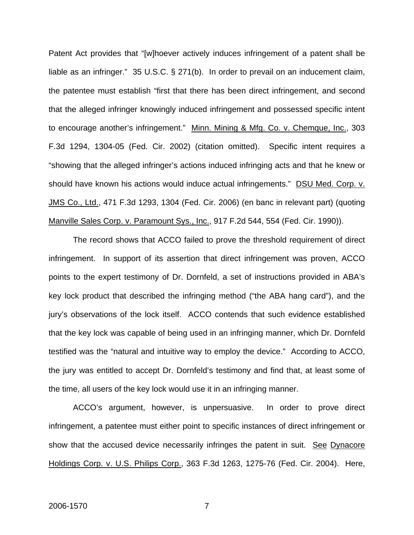Patent Act provides that "[w]hoever actively induces infringement of a patent shall be liable as an infringer." 35 U.S.C. § 271(b). In order to prevail on an inducement claim, the patentee must establish "first that there has been direct infringement, and second that the alleged infringer knowingly induced infringement and possessed specific intent to encourage another's infringement." Minn. Mining & Mfg. Co. v. Chemque, Inc., 303 F.3d 1294, 1304-05 (Fed. Cir. 2002) (citation omitted). Specific intent requires a "showing that the alleged infringer's actions induced infringing acts and that he knew or should have known his actions would induce actual infringements." DSU Med. Corp. v. JMS Co., Ltd., 471 F.3d 1293, 1304 (Fed. Cir. 2006) (en banc in relevant part) (quoting Manville Sales Corp. v. Paramount Sys., Inc., 917 F.2d 544, 554 (Fed. Cir. 1990)).

The record shows that ACCO failed to prove the threshold requirement of direct infringement. In support of its assertion that direct infringement was proven, ACCO points to the expert testimony of Dr. Dornfeld, a set of instructions provided in ABA's key lock product that described the infringing method ("the ABA hang card"), and the jury's observations of the lock itself. ACCO contends that such evidence established that the key lock was capable of being used in an infringing manner, which Dr. Dornfeld testified was the "natural and intuitive way to employ the device." According to ACCO, the jury was entitled to accept Dr. Dornfeld's testimony and find that, at least some of the time, all users of the key lock would use it in an infringing manner.

ACCO's argument, however, is unpersuasive. In order to prove direct infringement, a patentee must either point to specific instances of direct infringement or show that the accused device necessarily infringes the patent in suit. See Dynacore Holdings Corp. v. U.S. Philips Corp., 363 F.3d 1263, 1275-76 (Fed. Cir. 2004). Here,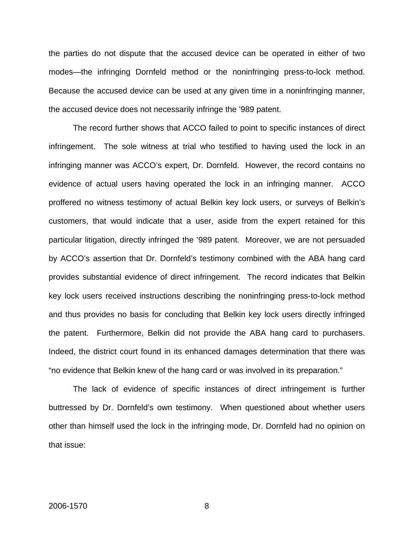the parties do not dispute that the accused device can be operated in either of two modes—the infringing Dornfeld method or the noninfringing press-to-lock method. Because the accused device can be used at any given time in a noninfringing manner, the accused device does not necessarily infringe the '989 patent.

The record further shows that ACCO failed to point to specific instances of direct infringement. The sole witness at trial who testified to having used the lock in an infringing manner was ACCO's expert, Dr. Dornfeld. However, the record contains no evidence of actual users having operated the lock in an infringing manner. ACCO proffered no witness testimony of actual Belkin key lock users, or surveys of Belkin's customers, that would indicate that a user, aside from the expert retained for this particular litigation, directly infringed the '989 patent. Moreover, we are not persuaded by ACCO's assertion that Dr. Dornfeld's testimony combined with the ABA hang card provides substantial evidence of direct infringement. The record indicates that Belkin key lock users received instructions describing the noninfringing press-to-lock method and thus provides no basis for concluding that Belkin key lock users directly infringed the patent. Furthermore, Belkin did not provide the ABA hang card to purchasers. Indeed, the district court found in its enhanced damages determination that there was "no evidence that Belkin knew of the hang card or was involved in its preparation."

The lack of evidence of specific instances of direct infringement is further buttressed by Dr. Dornfeld's own testimony. When questioned about whether users other than himself used the lock in the infringing mode, Dr. Dornfeld had no opinion on that issue: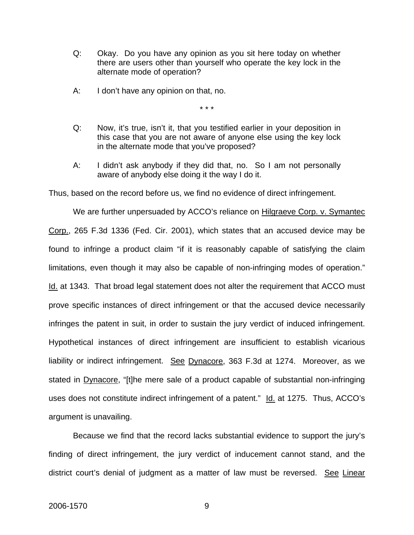- Q: Okay. Do you have any opinion as you sit here today on whether there are users other than yourself who operate the key lock in the alternate mode of operation?
- A: I don't have any opinion on that, no.

\* \* \*

- Q: Now, it's true, isn't it, that you testified earlier in your deposition in this case that you are not aware of anyone else using the key lock in the alternate mode that you've proposed?
- A: I didn't ask anybody if they did that, no. So I am not personally aware of anybody else doing it the way I do it.

Thus, based on the record before us, we find no evidence of direct infringement.

We are further unpersuaded by ACCO's reliance on Hilgraeve Corp. v. Symantec Corp., 265 F.3d 1336 (Fed. Cir. 2001), which states that an accused device may be found to infringe a product claim "if it is reasonably capable of satisfying the claim limitations, even though it may also be capable of non-infringing modes of operation." Id. at 1343. That broad legal statement does not alter the requirement that ACCO must prove specific instances of direct infringement or that the accused device necessarily infringes the patent in suit, in order to sustain the jury verdict of induced infringement. Hypothetical instances of direct infringement are insufficient to establish vicarious liability or indirect infringement. See Dynacore, 363 F.3d at 1274. Moreover, as we stated in Dynacore, "[t]he mere sale of a product capable of substantial non-infringing uses does not constitute indirect infringement of a patent." Id. at 1275. Thus, ACCO's argument is unavailing.

Because we find that the record lacks substantial evidence to support the jury's finding of direct infringement, the jury verdict of inducement cannot stand, and the district court's denial of judgment as a matter of law must be reversed. See Linear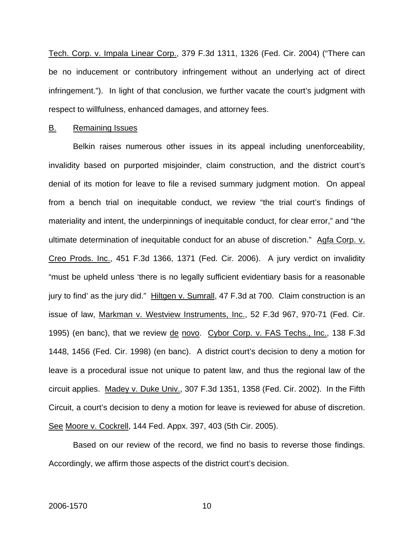Tech. Corp. v. Impala Linear Corp., 379 F.3d 1311, 1326 (Fed. Cir. 2004) ("There can be no inducement or contributory infringement without an underlying act of direct infringement."). In light of that conclusion, we further vacate the court's judgment with respect to willfulness, enhanced damages, and attorney fees.

#### B. Remaining Issues

Belkin raises numerous other issues in its appeal including unenforceability, invalidity based on purported misjoinder, claim construction, and the district court's denial of its motion for leave to file a revised summary judgment motion. On appeal from a bench trial on inequitable conduct, we review "the trial court's findings of materiality and intent, the underpinnings of inequitable conduct, for clear error," and "the ultimate determination of inequitable conduct for an abuse of discretion." Agfa Corp. v. Creo Prods. Inc., 451 F.3d 1366, 1371 (Fed. Cir. 2006). A jury verdict on invalidity "must be upheld unless 'there is no legally sufficient evidentiary basis for a reasonable jury to find' as the jury did." Hiltgen v. Sumrall, 47 F.3d at 700. Claim construction is an issue of law, Markman v. Westview Instruments, Inc., 52 F.3d 967, 970-71 (Fed. Cir. 1995) (en banc), that we review de novo. Cybor Corp. v. FAS Techs., Inc., 138 F.3d 1448, 1456 (Fed. Cir. 1998) (en banc). A district court's decision to deny a motion for leave is a procedural issue not unique to patent law, and thus the regional law of the circuit applies. Madey v. Duke Univ., 307 F.3d 1351, 1358 (Fed. Cir. 2002). In the Fifth Circuit, a court's decision to deny a motion for leave is reviewed for abuse of discretion. See Moore v. Cockrell, 144 Fed. Appx. 397, 403 (5th Cir. 2005).

Based on our review of the record, we find no basis to reverse those findings. Accordingly, we affirm those aspects of the district court's decision.